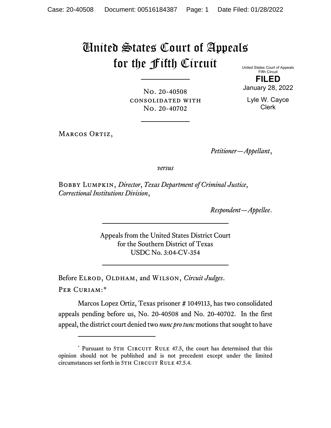## United States Court of Appeals for the Fifth Circuit

United States Court of Appeals Fifth Circuit

No. 20-40508 consolidated with No. 20-40702

**FILED** January 28, 2022

Lyle W. Cayce

Clerk

MARCOS ORTIZ,

*Petitioner—Appellant*,

*versus*

Bobby Lumpkin, *Director*, *Texas Department of Criminal Justice*, *Correctional Institutions Division*,

*Respondent—Appellee*.

Appeals from the United States District Court for the Southern District of Texas USDC No. 3:04-CV-354

Before ELROD, OLDHAM, and WILSON, *Circuit Judges*. Per Curiam:[\\*](#page-0-0)

Marcos Lopez Ortiz, Texas prisoner # 1049113, has two consolidated appeals pending before us, No. 20-40508 and No. 20-40702. In the first appeal, the district court denied two *nunc pro tunc* motions that sought to have

<span id="page-0-0"></span><sup>\*</sup> Pursuant to 5TH CIRCUIT RULE 47.5, the court has determined that this opinion should not be published and is not precedent except under the limited circumstances set forth in 5TH CIRCUIT RULE 47.5.4.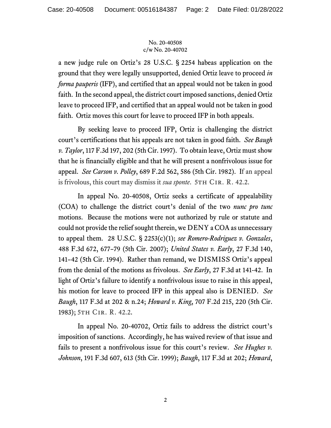## No. 20-40508 c/w No. 20-40702

a new judge rule on Ortiz's 28 U.S.C. § 2254 habeas application on the ground that they were legally unsupported, denied Ortiz leave to proceed *in forma pauperis* (IFP), and certified that an appeal would not be taken in good faith. In the second appeal, the district court imposed sanctions, denied Ortiz leave to proceed IFP, and certified that an appeal would not be taken in good faith. Ortiz moves this court for leave to proceed IFP in both appeals.

By seeking leave to proceed IFP, Ortiz is challenging the district court's certifications that his appeals are not taken in good faith. *See Baugh v. Taylor*, 117 F.3d 197, 202 (5th Cir. 1997). To obtain leave, Ortiz must show that he is financially eligible and that he will present a nonfrivolous issue for appeal. *See Carson v. Polley*, 689 F.2d 562, 586 (5th Cir. 1982). If an appeal is frivolous, this court may dismiss it *sua sponte*. 5th Cir. R. 42.2.

In appeal No. 20-40508, Ortiz seeks a certificate of appealability (COA) to challenge the district court's denial of the two *nunc pro tunc* motions. Because the motions were not authorized by rule or statute and could not provide the relief sought therein, we DENY a COA as unnecessary to appeal them. 28 U.S.C. § 2253(c)(1); *see Romero-Rodriguez v. Gonzales*, 488 F.3d 672, 677–79 (5th Cir. 2007); *United States v. Early*, 27 F.3d 140, 141–42 (5th Cir. 1994). Rather than remand, we DISMISS Ortiz's appeal from the denial of the motions as frivolous. *See Early*, 27 F.3d at 141-42. In light of Ortiz's failure to identify a nonfrivolous issue to raise in this appeal, his motion for leave to proceed IFP in this appeal also is DENIED. *See Baugh*, 117 F.3d at 202 & n.24; *Howard v. King*, 707 F.2d 215, 220 (5th Cir. 1983); 5th Cir. R. 42.2.

In appeal No. 20-40702, Ortiz fails to address the district court's imposition of sanctions. Accordingly, he has waived review of that issue and fails to present a nonfrivolous issue for this court's review. *See Hughes v. Johnson*, 191 F.3d 607, 613 (5th Cir. 1999); *Baugh*, 117 F.3d at 202; *Howard*,